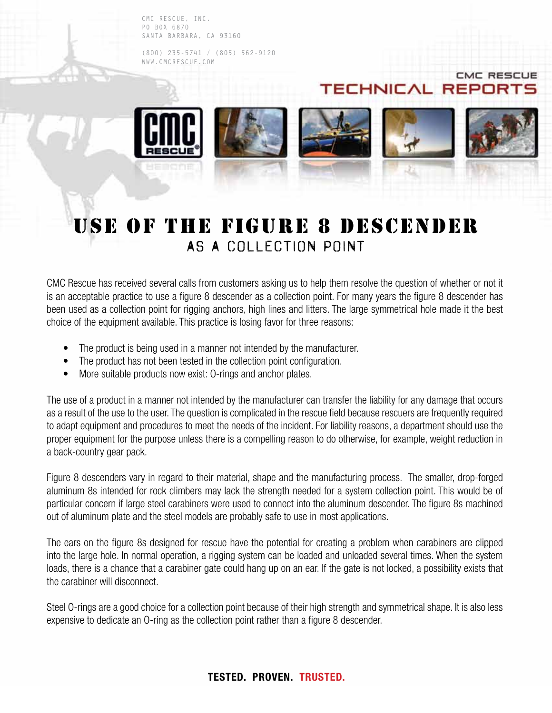CMC RESCUE, INC. PO BOX 6870 SANTA BARBARA, CA 93160

(800) 235-5741 / (805) 562-9120 WWW.CMCRESCUE.COM



**CMC RESCL** 

## USE OF THE FIGURE 8 DESCENDER AS A COLLECTION POINT

CMC Rescue has received several calls from customers asking us to help them resolve the question of whether or not it is an acceptable practice to use a figure 8 descender as a collection point. For many years the figure 8 descender has been used as a collection point for rigging anchors, high lines and litters. The large symmetrical hole made it the best choice of the equipment available. This practice is losing favor for three reasons:

- The product is being used in a manner not intended by the manufacturer.
- The product has not been tested in the collection point configuration.
- More suitable products now exist: O-rings and anchor plates.

The use of a product in a manner not intended by the manufacturer can transfer the liability for any damage that occurs as a result of the use to the user. The question is complicated in the rescue field because rescuers are frequently required to adapt equipment and procedures to meet the needs of the incident. For liability reasons, a department should use the proper equipment for the purpose unless there is a compelling reason to do otherwise, for example, weight reduction in a back-country gear pack.

Figure 8 descenders vary in regard to their material, shape and the manufacturing process. The smaller, drop-forged aluminum 8s intended for rock climbers may lack the strength needed for a system collection point. This would be of particular concern if large steel carabiners were used to connect into the aluminum descender. The figure 8s machined out of aluminum plate and the steel models are probably safe to use in most applications.

The ears on the figure 8s designed for rescue have the potential for creating a problem when carabiners are clipped into the large hole. In normal operation, a rigging system can be loaded and unloaded several times. When the system loads, there is a chance that a carabiner gate could hang up on an ear. If the gate is not locked, a possibility exists that the carabiner will disconnect.

Steel O-rings are a good choice for a collection point because of their high strength and symmetrical shape. It is also less expensive to dedicate an O-ring as the collection point rather than a figure 8 descender.

## **TESTED. PROVEN. TRUSTED.**